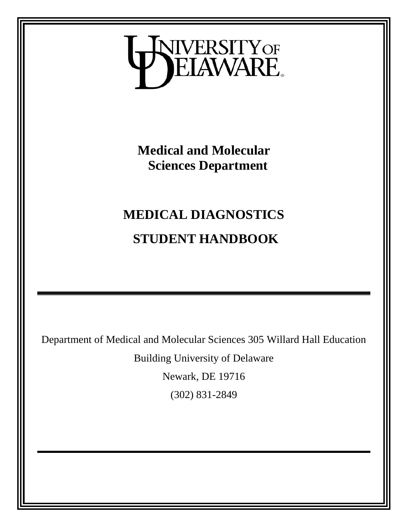

**Medical and Molecular Sciences Department**

# **MEDICAL DIAGNOSTICS STUDENT HANDBOOK**

Department of Medical and Molecular Sciences 305 Willard Hall Education

Building University of Delaware

Newark, DE 19716

(302) 831-2849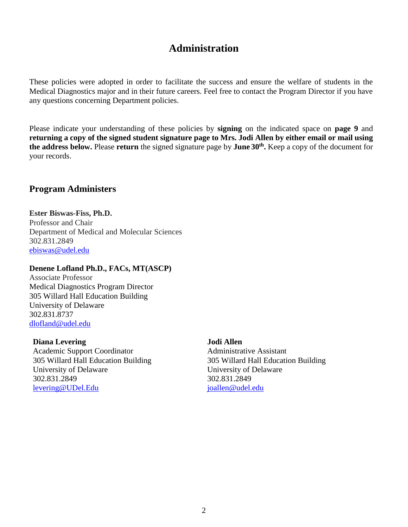### **Administration**

<span id="page-1-0"></span>These policies were adopted in order to facilitate the success and ensure the welfare of students in the Medical Diagnostics major and in their future careers. Feel free to contact the Program Director if you have any questions concerning Department policies.

Please indicate your understanding of these policies by **signing** on the indicated space on **page 9** and **returning a copy of the signed student signature page to Mrs. Jodi Allen by either email or mail using the address below.** Please **return** the signed signature page by **June 30th .** Keep a copy of the document for your records.

### **Program Administers**

**Ester Biswas-Fiss, Ph.D.** Professor and Chair Department of Medical and Molecular Sciences 302.831.2849 [ebiswas@udel.edu](mailto:ebiswas@udel.edu)

#### **Denene Lofland Ph.D., FACs, MT(ASCP)**

Associate Professor Medical Diagnostics Program Director 305 Willard Hall Education Building University of Delaware 302.831.8737 [dlofland@udel.edu](mailto:dlofland@udel.edu)

#### **Diana Levering**

Academic Support Coordinator 305 Willard Hall Education Building University of Delaware 302.831.2849 [levering@UDel.Edu](mailto:levering@UDel.Edu)

#### **Jodi Allen**

Administrative Assistant 305 Willard Hall Education Building University of Delaware 302.831.2849 [joallen@udel.edu](mailto:joallen@udel.edu)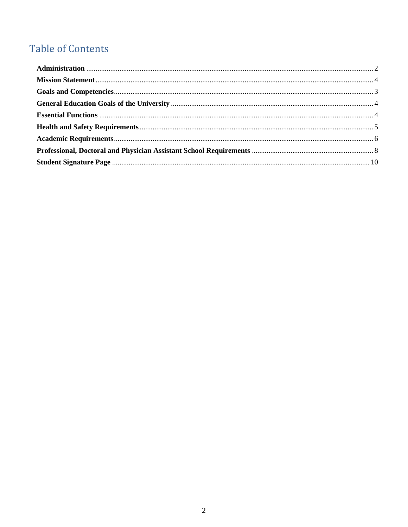## **Table of Contents**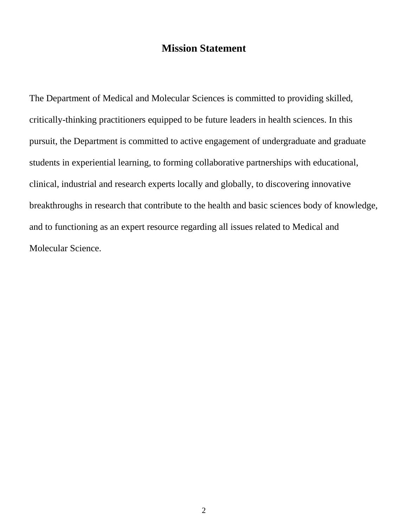### **Mission Statement**

<span id="page-3-0"></span>The Department of Medical and Molecular Sciences is committed to providing skilled, critically-thinking practitioners equipped to be future leaders in health sciences. In this pursuit, the Department is committed to active engagement of undergraduate and graduate students in experiential learning, to forming collaborative partnerships with educational, clinical, industrial and research experts locally and globally, to discovering innovative breakthroughs in research that contribute to the health and basic sciences body of knowledge, and to functioning as an expert resource regarding all issues related to Medical and Molecular Science.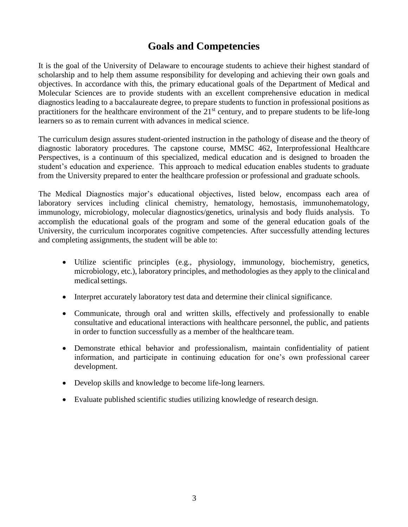### **Goals and Competencies**

<span id="page-4-0"></span>It is the goal of the University of Delaware to encourage students to achieve their highest standard of scholarship and to help them assume responsibility for developing and achieving their own goals and objectives. In accordance with this, the primary educational goals of the Department of Medical and Molecular Sciences are to provide students with an excellent comprehensive education in medical diagnostics leading to a baccalaureate degree, to prepare students to function in professional positions as practitioners for the healthcare environment of the  $21<sup>st</sup>$  century, and to prepare students to be life-long learners so as to remain current with advances in medical science.

The curriculum design assures student-oriented instruction in the pathology of disease and the theory of diagnostic laboratory procedures. The capstone course, MMSC 462, Interprofessional Healthcare Perspectives, is a continuum of this specialized, medical education and is designed to broaden the student's education and experience. This approach to medical education enables students to graduate from the University prepared to enter the healthcare profession or professional and graduate schools.

The Medical Diagnostics major's educational objectives, listed below, encompass each area of laboratory services including clinical chemistry, hematology, hemostasis, immunohematology, immunology, microbiology, molecular diagnostics/genetics, urinalysis and body fluids analysis. To accomplish the educational goals of the program and some of the general education goals of the University, the curriculum incorporates cognitive competencies. After successfully attending lectures and completing assignments, the student will be able to:

- Utilize scientific principles (e.g., physiology, immunology, biochemistry, genetics, microbiology, etc.), laboratory principles, and methodologies as they apply to the clinical and medical settings.
- Interpret accurately laboratory test data and determine their clinical significance.
- Communicate, through oral and written skills, effectively and professionally to enable consultative and educational interactions with healthcare personnel, the public, and patients in order to function successfully as a member of the healthcare team.
- Demonstrate ethical behavior and professionalism, maintain confidentiality of patient information, and participate in continuing education for one's own professional career development.
- Develop skills and knowledge to become life-long learners.
- Evaluate published scientific studies utilizing knowledge of research design.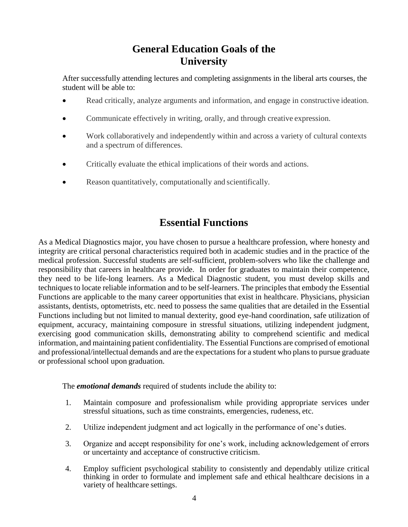### **General Education Goals of the University**

<span id="page-5-0"></span>After successfully attending lectures and completing assignments in the liberal arts courses, the student will be able to:

- Read critically, analyze arguments and information, and engage in constructive ideation.
- Communicate effectively in writing, orally, and through creative expression.
- Work collaboratively and independently within and across a variety of cultural contexts and a spectrum of differences.
- Critically evaluate the ethical implications of their words and actions.
- Reason quantitatively, computationally and scientifically.

### **Essential Functions**

<span id="page-5-1"></span>As a Medical Diagnostics major, you have chosen to pursue a healthcare profession, where honesty and integrity are critical personal characteristics required both in academic studies and in the practice of the medical profession. Successful students are self-sufficient, problem-solvers who like the challenge and responsibility that careers in healthcare provide. In order for graduates to maintain their competence, they need to be life-long learners. As a Medical Diagnostic student, you must develop skills and techniques to locate reliable information and to be self-learners. The principles that embody the Essential Functions are applicable to the many career opportunities that exist in healthcare. Physicians, physician assistants, dentists, optometrists, etc. need to possess the same qualities that are detailed in the Essential Functions including but not limited to manual dexterity, good eye-hand coordination, safe utilization of equipment, accuracy, maintaining composure in stressful situations, utilizing independent judgment, exercising good communication skills, demonstrating ability to comprehend scientific and medical information, and maintaining patient confidentiality. The Essential Functions are comprised of emotional and professional/intellectual demands and are the expectations for a student who plans to pursue graduate or professional school upon graduation.

The *emotional demands* required of students include the ability to:

- 1. Maintain composure and professionalism while providing appropriate services under stressful situations, such as time constraints, emergencies, rudeness, etc.
- 2. Utilize independent judgment and act logically in the performance of one's duties.
- 3. Organize and accept responsibility for one's work, including acknowledgement of errors or uncertainty and acceptance of constructive criticism.
- 4. Employ sufficient psychological stability to consistently and dependably utilize critical thinking in order to formulate and implement safe and ethical healthcare decisions in a variety of healthcare settings.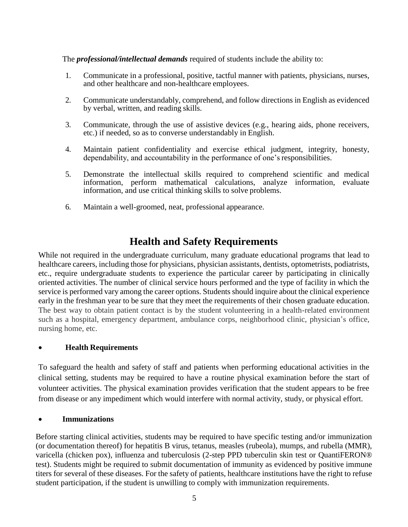The *professional/intellectual demands* required of students include the ability to:

- 1. Communicate in a professional, positive, tactful manner with patients, physicians, nurses, and other healthcare and non-healthcare employees.
- 2. Communicate understandably, comprehend, and follow directions in English as evidenced by verbal, written, and reading skills.
- 3. Communicate, through the use of assistive devices (e.g., hearing aids, phone receivers, etc.) if needed, so as to converse understandably in English.
- 4. Maintain patient confidentiality and exercise ethical judgment, integrity, honesty, dependability, and accountability in the performance of one's responsibilities.
- 5. Demonstrate the intellectual skills required to comprehend scientific and medical information, perform mathematical calculations, analyze information, evaluate information, and use critical thinking skills to solve problems.
- 6. Maintain a well-groomed, neat, professional appearance.

### **Health and Safety Requirements**

<span id="page-6-0"></span>While not required in the undergraduate curriculum, many graduate educational programs that lead to healthcare careers, including those for physicians, physician assistants, dentists, optometrists, podiatrists, etc., require undergraduate students to experience the particular career by participating in clinically oriented activities. The number of clinical service hours performed and the type of facility in which the service is performed vary among the career options. Students should inquire about the clinical experience early in the freshman year to be sure that they meet the requirements of their chosen graduate education. The best way to obtain patient contact is by the student volunteering in a health-related environment such as a hospital, emergency department, ambulance corps, neighborhood clinic, physician's office, nursing home, etc.

#### • **Health Requirements**

To safeguard the health and safety of staff and patients when performing educational activities in the clinical setting, students may be required to have a routine physical examination before the start of volunteer activities. The physical examination provides verification that the student appears to be free from disease or any impediment which would interfere with normal activity, study, or physical effort.

#### • **Immunizations**

Before starting clinical activities, students may be required to have specific testing and/or immunization (or documentation thereof) for hepatitis B virus, tetanus, measles (rubeola), mumps, and rubella (MMR), varicella (chicken pox), influenza and tuberculosis (2-step PPD tuberculin skin test or QuantiFERON® test). Students might be required to submit documentation of immunity as evidenced by positive immune titers for several of these diseases. For the safety of patients, healthcare institutions have the right to refuse student participation, if the student is unwilling to comply with immunization requirements.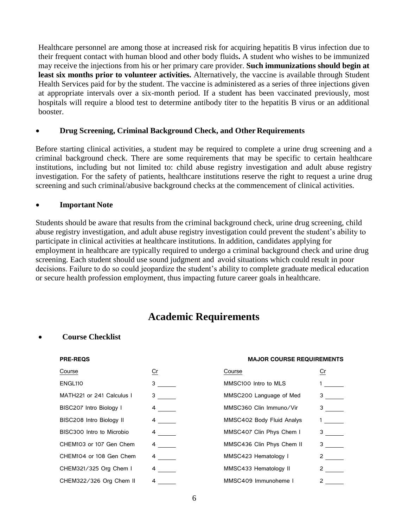Healthcare personnel are among those at increased risk for acquiring hepatitis B virus infection due to their frequent contact with human blood and other body fluids**.** A student who wishes to be immunized may receive the injections from his or her primary care provider. **Such immunizations should begin at least six months prior to volunteer activities.** Alternatively, the vaccine is available through Student Health Services paid for by the student. The vaccine is administered as a series of three injections given at appropriate intervals over a six-month period. If a student has been vaccinated previously, most hospitals will require a blood test to determine antibody titer to the hepatitis B virus or an additional booster.

#### • **Drug Screening, Criminal Background Check, and Other Requirements**

Before starting clinical activities, a student may be required to complete a urine drug screening and a criminal background check. There are some requirements that may be specific to certain healthcare institutions, including but not limited to: child abuse registry investigation and adult abuse registry investigation. For the safety of patients, healthcare institutions reserve the right to request a urine drug screening and such criminal/abusive background checks at the commencement of clinical activities.

#### • **Important Note**

Students should be aware that results from the criminal background check, urine drug screening, child abuse registry investigation, and adult abuse registry investigation could prevent the student's ability to participate in clinical activities at healthcare institutions. In addition, candidates applying for employment in healthcare are typically required to undergo a criminal background check and urine drug screening. Each student should use sound judgment and avoid situations which could result in poor decisions. Failure to do so could jeopardize the student's ability to complete graduate medical education or secure health profession employment, thus impacting future career goals in healthcare.

### **Academic Requirements**

#### <span id="page-7-0"></span>• **Course Checklist**

#### **PRE-REQS MAJOR COURSE REQUIREMENTS**

| Course                          | Cr               | Course                    | Cr                             |
|---------------------------------|------------------|---------------------------|--------------------------------|
| ENGL <sub>110</sub>             | 3                | MMSC100 Intro to MLS      |                                |
| MATH221 or 241 Calculus I       | $3 \quad \qquad$ | MMSC200 Language of Med   |                                |
| BISC207 Intro Biology I         | $4\overline{ }$  | MMSC360 Clin Immuno/Vir   | $3 \sim$                       |
| <b>BISC208 Intro Biology II</b> | $4 \quad -$      | MMSC402 Body Fluid Analys |                                |
| BISC300 Intro to Microbio       | $4\overline{ }$  | MMSC407 Clin Phys Chem I  | $3 \sim$                       |
| CHEM103 or 107 Gen Chem         | $4\degree$       | MMSC436 Clin Phys Chem II | $3 \sim$                       |
| CHEM104 or 108 Gen Chem         | $\sim$ 4         | MMSC423 Hematology I      | $2 \left( \frac{1}{2} \right)$ |
| CHEM321/325 Org Chem I          | $4\degree$       | MMSC433 Hematology II     |                                |
| CHEM322/326 Org Chem II         | 4                | MMSC409 Immunoheme I      | 2                              |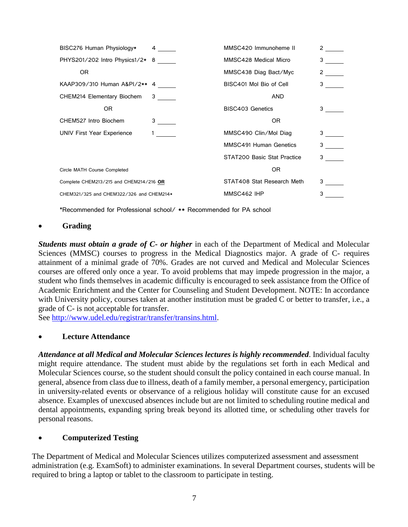| BISC276 Human Physiology* 4              |                        | MMSC420 Immunoheme II         | $2 \quad \underline{\qquad}$   |
|------------------------------------------|------------------------|-------------------------------|--------------------------------|
| PHYS201/202 Intro Physics1/2* 8          |                        | MMSC428 Medical Micro         | $3 \sim$                       |
| OR.                                      |                        | MMSC438 Diag Bact/Myc         | $2 \left( \frac{1}{2} \right)$ |
| KAAP309/310 Human A&PI/2** 4             |                        | BISC401 Mol Bio of Cell       | $3 \quad \blacksquare$         |
| CHEM214 Elementary Biochem 3             |                        | <b>AND</b>                    |                                |
| OR.                                      |                        | BISC403 Genetics              | $3^{\circ}$                    |
| CHEM527 Intro Biochem                    | $3 \equiv$             | OR.                           |                                |
| UNIV First Year Experience               | $1 \quad \blacksquare$ | MMSC490 Clin/Mol Diag         | $3 \qquad -$                   |
|                                          |                        | <b>MMSC491 Human Genetics</b> | $3 \quad \blacksquare$         |
|                                          |                        | STAT200 Basic Stat Practice   | $3 \quad \blacksquare$         |
| Circle MATH Course Completed             |                        | OR.                           |                                |
| Complete CHEM213/215 and CHEM214/216 OR  |                        | STAT408 Stat Research Meth    | 3                              |
| CHEM321/325 and CHEM322/326 and CHEM214* |                        | MMSC462 IHP                   | 3                              |

**\***Recommended for Professional school/ \*\* Recommended for PA school

#### • **Grading**

*Students must obtain a grade of C- or higher* in each of the Department of Medical and Molecular Sciences (MMSC) courses to progress in the Medical Diagnostics major. A grade of C- requires attainment of a minimal grade of 70%. Grades are not curved and Medical and Molecular Sciences courses are offered only once a year. To avoid problems that may impede progression in the major, a student who finds themselves in academic difficulty is encouraged to seek assistance from the Office of Academic Enrichment and the Center for Counseling and Student Development. NOTE: In accordance with University policy, courses taken at another institution must be graded C or better to transfer, i.e., a grade of C- is not acceptable for transfer.

See [http://www.udel.edu/registrar/transfer/transins.html.](http://www.udel.edu/registrar/transfer/transins.html)

#### • **Lecture Attendance**

*Attendance at all Medical and Molecular Sciences lectures is highly recommended*. Individual faculty might require attendance. The student must abide by the regulations set forth in each Medical and Molecular Sciences course, so the student should consult the policy contained in each course manual. In general, absence from class due to illness, death of a family member, a personal emergency, participation in university-related events or observance of a religious holiday will constitute cause for an excused absence. Examples of unexcused absences include but are not limited to scheduling routine medical and dental appointments, expanding spring break beyond its allotted time, or scheduling other travels for personal reasons.

#### • **Computerized Testing**

The Department of Medical and Molecular Sciences utilizes computerized assessment and assessment administration (e.g. ExamSoft) to administer examinations. In several Department courses, students will be required to bring a laptop or tablet to the classroom to participate in testing.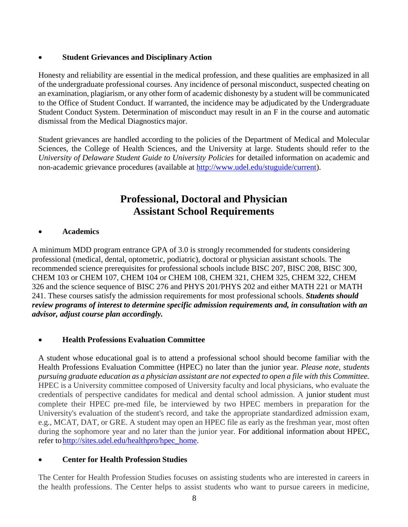#### • **Student Grievances and Disciplinary Action**

Honesty and reliability are essential in the medical profession, and these qualities are emphasized in all of the undergraduate professional courses. Any incidence of personal misconduct, suspected cheating on an examination, plagiarism, or any other form of academic dishonesty by a student will be communicated to the Office of Student Conduct. If warranted, the incidence may be adjudicated by the Undergraduate Student Conduct System. Determination of misconduct may result in an F in the course and automatic dismissal from the Medical Diagnostics major.

Student grievances are handled according to the policies of the Department of Medical and Molecular Sciences, the College of Health Sciences, and the University at large. Students should refer to the *University of Delaware Student Guide to University Policies* for detailed information on academic and non-academic grievance procedures (available at [http://www.udel.edu/stuguide/current\)](http://www.udel.edu/stuguide/current).

### **Professional, Doctoral and Physician Assistant School Requirements**

#### <span id="page-9-0"></span>• **Academics**

A minimum MDD program entrance GPA of 3.0 is strongly recommended for students considering professional (medical, dental, optometric, podiatric), doctoral or physician assistant schools. The recommended science prerequisites for professional schools include [BISC 207,](https://catalog.udel.edu/preview_entity.php?catoid=29&ent_oid=3078&returnto=3567#tt9719) [BISC 208,](https://catalog.udel.edu/preview_entity.php?catoid=29&ent_oid=3078&returnto=3567#tt9905) [BISC 300,](https://catalog.udel.edu/preview_entity.php?catoid=29&ent_oid=3078&returnto=3567#tt2124) [CHEM 103](https://catalog.udel.edu/preview_entity.php?catoid=29&ent_oid=3078&returnto=3567#tt3356) or [CHEM 107,](https://catalog.udel.edu/preview_entity.php?catoid=29&ent_oid=3078&returnto=3567#tt7596) [CHEM 104](https://catalog.udel.edu/preview_entity.php?catoid=29&ent_oid=3078&returnto=3567#tt345) or [CHEM 108,](https://catalog.udel.edu/preview_entity.php?catoid=29&ent_oid=3078&returnto=3567#tt1663) [CHEM 321,](https://catalog.udel.edu/preview_entity.php?catoid=29&ent_oid=3078&returnto=3567#tt4645) [CHEM 325,](https://catalog.udel.edu/preview_entity.php?catoid=29&ent_oid=3078&returnto=3567#tt6437) [CHEM 322,](https://catalog.udel.edu/preview_entity.php?catoid=29&ent_oid=3078&returnto=3567#tt6746) [CHEM](https://catalog.udel.edu/preview_entity.php?catoid=29&ent_oid=3078&returnto=3567#tt8193)  [326](https://catalog.udel.edu/preview_entity.php?catoid=29&ent_oid=3078&returnto=3567#tt8193) and the science sequence of [BISC 276](https://catalog.udel.edu/preview_entity.php?catoid=29&ent_oid=3078&returnto=3567#tt3352) and [PHYS 201](https://catalog.udel.edu/preview_entity.php?catoid=29&ent_oid=3078&returnto=3567#tt6046)[/PHYS 202](https://catalog.udel.edu/preview_entity.php?catoid=29&ent_oid=3078&returnto=3567#tt2937) and either [MATH 221](https://catalog.udel.edu/preview_entity.php?catoid=29&ent_oid=3078&returnto=3567#tt9545) or [MATH](https://catalog.udel.edu/preview_entity.php?catoid=29&ent_oid=3078&returnto=3567#tt1741)  [241.](https://catalog.udel.edu/preview_entity.php?catoid=29&ent_oid=3078&returnto=3567#tt1741) These courses satisfy the admission requirements for most professional schools. *Students should review programs of interest to determine specific admission requirements and, in consultation with an advisor, adjust course plan accordingly.*

#### • **Health Professions Evaluation Committee**

A student whose educational goal is to attend a professional school should become familiar with the Health Professions Evaluation Committee (HPEC) no later than the junior year. *Please note, students pursuing graduate education as a physician assistant are not expected to open a file with this Committee.*  HPEC is a University committee composed of University faculty and local physicians, who evaluate the credentials of perspective candidates for medical and dental school admission. A junior student must complete their HPEC pre-med file, be interviewed by two HPEC members in preparation for the University's evaluation of the student's record, and take the appropriate standardized admission exam, e.g., MCAT, DAT, or GRE. A student may open an HPEC file as early as the freshman year, most often during the sophomore year and no later than the junior year. For additional information about HPEC, refer to [http://sites.udel.edu/healthpro/hpec\\_home.](http://sites.udel.edu/healthpro/hpec_home)

#### • **Center for Health Profession Studies**

The Center for Health Profession Studies focuses on assisting students who are interested in careers in the health professions. The Center helps to assist students who want to pursue careers in medicine,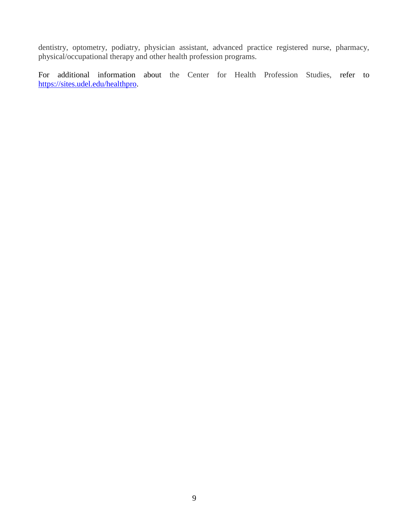dentistry, optometry, podiatry, physician assistant, advanced practice registered nurse, pharmacy, physical/occupational therapy and other health profession programs.

For additional information about the Center for Health Profession Studies, refer to [https://sites.udel.edu/healthpro.](https://sites.udel.edu/healthpro)